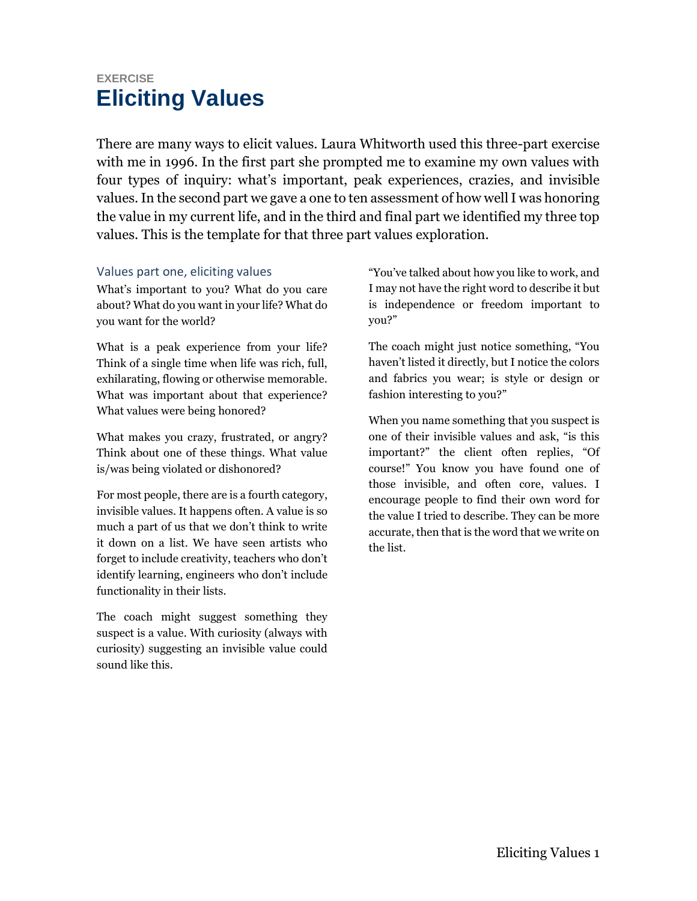## **EXERCISE Eliciting Values**

There are many ways to elicit values. Laura Whitworth used this three-part exercise with me in 1996. In the first part she prompted me to examine my own values with four types of inquiry: what's important, peak experiences, crazies, and invisible values. In the second part we gave a one to ten assessment of how well I was honoring the value in my current life, and in the third and final part we identified my three top values. This is the template for that three part values exploration.

## Values part one, eliciting values

What's important to you? What do you care about? What do you want in your life? What do you want for the world?

What is a peak experience from your life? Think of a single time when life was rich, full, exhilarating, flowing or otherwise memorable. What was important about that experience? What values were being honored?

What makes you crazy, frustrated, or angry? Think about one of these things. What value is/was being violated or dishonored?

For most people, there are is a fourth category, invisible values. It happens often. A value is so much a part of us that we don't think to write it down on a list. We have seen artists who forget to include creativity, teachers who don't identify learning, engineers who don't include functionality in their lists.

The coach might suggest something they suspect is a value. With curiosity (always with curiosity) suggesting an invisible value could sound like this.

"You've talked about how you like to work, and I may not have the right word to describe it but is independence or freedom important to you?"

The coach might just notice something, "You haven't listed it directly, but I notice the colors and fabrics you wear; is style or design or fashion interesting to you?"

When you name something that you suspect is one of their invisible values and ask, "is this important?" the client often replies, "Of course!" You know you have found one of those invisible, and often core, values. I encourage people to find their own word for the value I tried to describe. They can be more accurate, then that is the word that we write on the list.